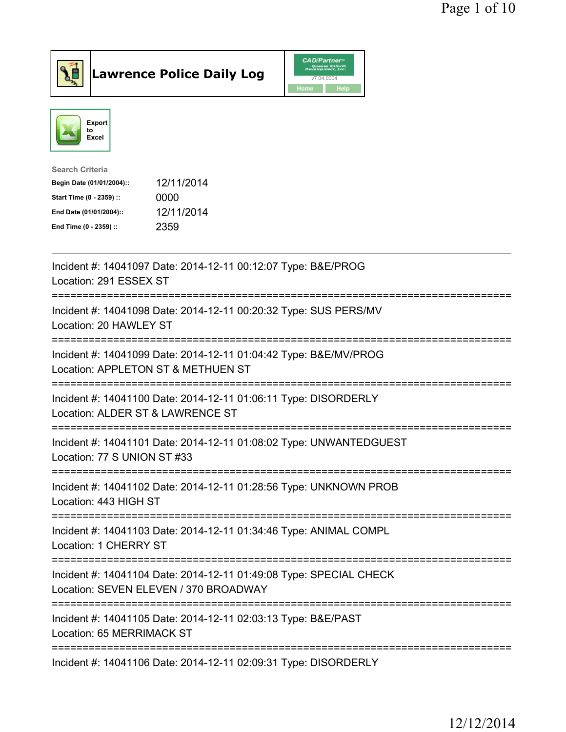



| <b>Search Criteria</b>    |            |
|---------------------------|------------|
| Begin Date (01/01/2004):: | 12/11/2014 |
| Start Time (0 - 2359) ::  | 0000       |
| End Date (01/01/2004)::   | 12/11/2014 |
| End Time (0 - 2359) ::    | 2359       |
|                           |            |

| Incident #: 14041097 Date: 2014-12-11 00:12:07 Type: B&E/PROG<br>Location: 291 ESSEX ST                           |
|-------------------------------------------------------------------------------------------------------------------|
| Incident #: 14041098 Date: 2014-12-11 00:20:32 Type: SUS PERS/MV<br>Location: 20 HAWLEY ST                        |
| Incident #: 14041099 Date: 2014-12-11 01:04:42 Type: B&E/MV/PROG<br>Location: APPLETON ST & METHUEN ST            |
| Incident #: 14041100 Date: 2014-12-11 01:06:11 Type: DISORDERLY<br>Location: ALDER ST & LAWRENCE ST               |
| Incident #: 14041101 Date: 2014-12-11 01:08:02 Type: UNWANTEDGUEST<br>Location: 77 S UNION ST #33                 |
| Incident #: 14041102 Date: 2014-12-11 01:28:56 Type: UNKNOWN PROB<br>Location: 443 HIGH ST<br>------------------- |
| Incident #: 14041103 Date: 2014-12-11 01:34:46 Type: ANIMAL COMPL<br>Location: 1 CHERRY ST                        |
| Incident #: 14041104 Date: 2014-12-11 01:49:08 Type: SPECIAL CHECK<br>Location: SEVEN ELEVEN / 370 BROADWAY       |
| Incident #: 14041105 Date: 2014-12-11 02:03:13 Type: B&E/PAST<br>Location: 65 MERRIMACK ST                        |
| Incident #: 14041106 Date: 2014-12-11 02:09:31 Type: DISORDERLY                                                   |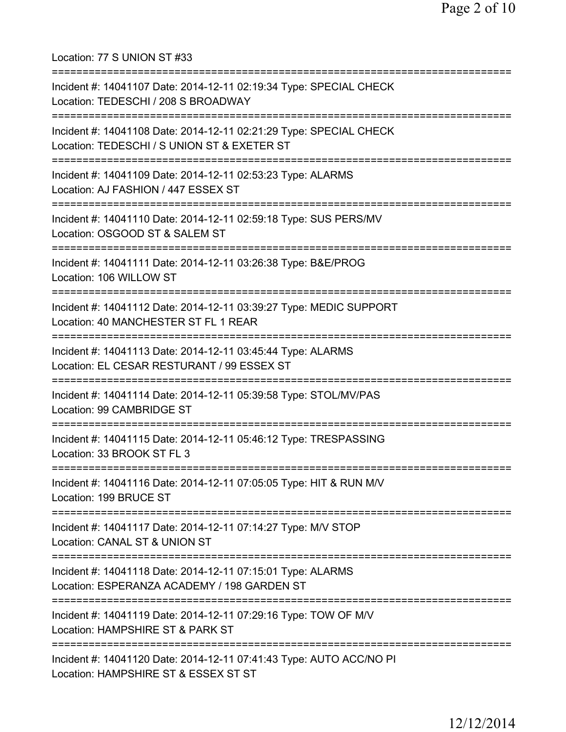Location: 77 S UNION ST #33 =========================================================================== Incident #: 14041107 Date: 2014-12-11 02:19:34 Type: SPECIAL CHECK Location: TEDESCHI / 208 S BROADWAY =========================================================================== Incident #: 14041108 Date: 2014-12-11 02:21:29 Type: SPECIAL CHECK Location: TEDESCHI / S UNION ST & EXETER ST =========================================================================== Incident #: 14041109 Date: 2014-12-11 02:53:23 Type: ALARMS Location: AJ FASHION / 447 ESSEX ST =========================================================================== Incident #: 14041110 Date: 2014-12-11 02:59:18 Type: SUS PERS/MV Location: OSGOOD ST & SALEM ST =========================================================================== Incident #: 14041111 Date: 2014-12-11 03:26:38 Type: B&E/PROG Location: 106 WILLOW ST =========================================================================== Incident #: 14041112 Date: 2014-12-11 03:39:27 Type: MEDIC SUPPORT Location: 40 MANCHESTER ST FL 1 REAR =========================================================================== Incident #: 14041113 Date: 2014-12-11 03:45:44 Type: ALARMS Location: EL CESAR RESTURANT / 99 ESSEX ST =========================================================================== Incident #: 14041114 Date: 2014-12-11 05:39:58 Type: STOL/MV/PAS Location: 99 CAMBRIDGE ST =========================================================================== Incident #: 14041115 Date: 2014-12-11 05:46:12 Type: TRESPASSING Location: 33 BROOK ST FL 3 =========================================================================== Incident #: 14041116 Date: 2014-12-11 07:05:05 Type: HIT & RUN M/V Location: 199 BRUCE ST =========================================================================== Incident #: 14041117 Date: 2014-12-11 07:14:27 Type: M/V STOP Location: CANAL ST & UNION ST =========================================================================== Incident #: 14041118 Date: 2014-12-11 07:15:01 Type: ALARMS Location: ESPERANZA ACADEMY / 198 GARDEN ST =========================================================================== Incident #: 14041119 Date: 2014-12-11 07:29:16 Type: TOW OF M/V Location: HAMPSHIRE ST & PARK ST =========================================================================== Incident #: 14041120 Date: 2014-12-11 07:41:43 Type: AUTO ACC/NO PI Location: HAMPSHIRE ST & ESSEX ST ST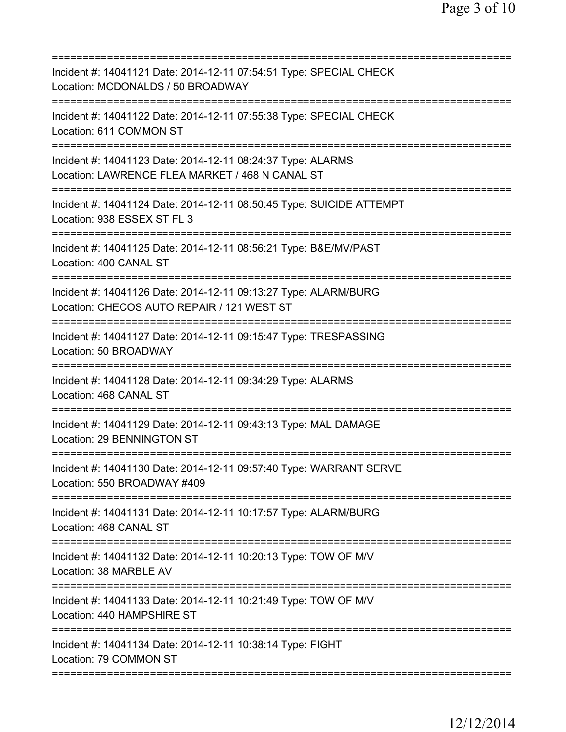| Incident #: 14041121 Date: 2014-12-11 07:54:51 Type: SPECIAL CHECK<br>Location: MCDONALDS / 50 BROADWAY                                  |
|------------------------------------------------------------------------------------------------------------------------------------------|
| Incident #: 14041122 Date: 2014-12-11 07:55:38 Type: SPECIAL CHECK<br>Location: 611 COMMON ST                                            |
| Incident #: 14041123 Date: 2014-12-11 08:24:37 Type: ALARMS<br>Location: LAWRENCE FLEA MARKET / 468 N CANAL ST<br>====================== |
| Incident #: 14041124 Date: 2014-12-11 08:50:45 Type: SUICIDE ATTEMPT<br>Location: 938 ESSEX ST FL 3                                      |
| Incident #: 14041125 Date: 2014-12-11 08:56:21 Type: B&E/MV/PAST<br>Location: 400 CANAL ST                                               |
| Incident #: 14041126 Date: 2014-12-11 09:13:27 Type: ALARM/BURG<br>Location: CHECOS AUTO REPAIR / 121 WEST ST                            |
| Incident #: 14041127 Date: 2014-12-11 09:15:47 Type: TRESPASSING<br>Location: 50 BROADWAY                                                |
| Incident #: 14041128 Date: 2014-12-11 09:34:29 Type: ALARMS<br>Location: 468 CANAL ST                                                    |
| Incident #: 14041129 Date: 2014-12-11 09:43:13 Type: MAL DAMAGE<br>Location: 29 BENNINGTON ST                                            |
| Incident #: 14041130 Date: 2014-12-11 09:57:40 Type: WARRANT SERVE<br>Location: 550 BROADWAY #409                                        |
| Incident #: 14041131 Date: 2014-12-11 10:17:57 Type: ALARM/BURG<br>Location: 468 CANAL ST                                                |
| Incident #: 14041132 Date: 2014-12-11 10:20:13 Type: TOW OF M/V<br>Location: 38 MARBLE AV                                                |
| Incident #: 14041133 Date: 2014-12-11 10:21:49 Type: TOW OF M/V<br>Location: 440 HAMPSHIRE ST                                            |
| Incident #: 14041134 Date: 2014-12-11 10:38:14 Type: FIGHT<br>Location: 79 COMMON ST                                                     |
|                                                                                                                                          |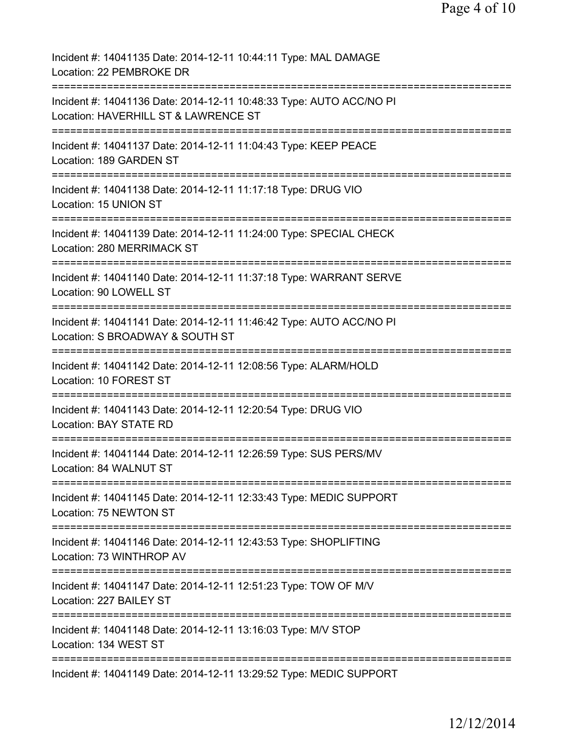| Incident #: 14041135 Date: 2014-12-11 10:44:11 Type: MAL DAMAGE<br>Location: 22 PEMBROKE DR                                         |
|-------------------------------------------------------------------------------------------------------------------------------------|
| Incident #: 14041136 Date: 2014-12-11 10:48:33 Type: AUTO ACC/NO PI<br>Location: HAVERHILL ST & LAWRENCE ST                         |
| Incident #: 14041137 Date: 2014-12-11 11:04:43 Type: KEEP PEACE<br>Location: 189 GARDEN ST<br>===================================== |
| Incident #: 14041138 Date: 2014-12-11 11:17:18 Type: DRUG VIO<br>Location: 15 UNION ST                                              |
| Incident #: 14041139 Date: 2014-12-11 11:24:00 Type: SPECIAL CHECK<br>Location: 280 MERRIMACK ST                                    |
| Incident #: 14041140 Date: 2014-12-11 11:37:18 Type: WARRANT SERVE<br>Location: 90 LOWELL ST                                        |
| Incident #: 14041141 Date: 2014-12-11 11:46:42 Type: AUTO ACC/NO PI<br>Location: S BROADWAY & SOUTH ST                              |
| ============<br>Incident #: 14041142 Date: 2014-12-11 12:08:56 Type: ALARM/HOLD<br>Location: 10 FOREST ST                           |
| -------------<br>Incident #: 14041143 Date: 2014-12-11 12:20:54 Type: DRUG VIO<br><b>Location: BAY STATE RD</b>                     |
| ==================<br>Incident #: 14041144 Date: 2014-12-11 12:26:59 Type: SUS PERS/MV<br>Location: 84 WALNUT ST                    |
| Incident #: 14041145 Date: 2014-12-11 12:33:43 Type: MEDIC SUPPORT<br>Location: 75 NEWTON ST                                        |
| Incident #: 14041146 Date: 2014-12-11 12:43:53 Type: SHOPLIFTING<br>Location: 73 WINTHROP AV                                        |
| Incident #: 14041147 Date: 2014-12-11 12:51:23 Type: TOW OF M/V<br>Location: 227 BAILEY ST                                          |
| Incident #: 14041148 Date: 2014-12-11 13:16:03 Type: M/V STOP<br>Location: 134 WEST ST                                              |
| Incident #: 14041149 Date: 2014-12-11 13:29:52 Type: MEDIC SUPPORT                                                                  |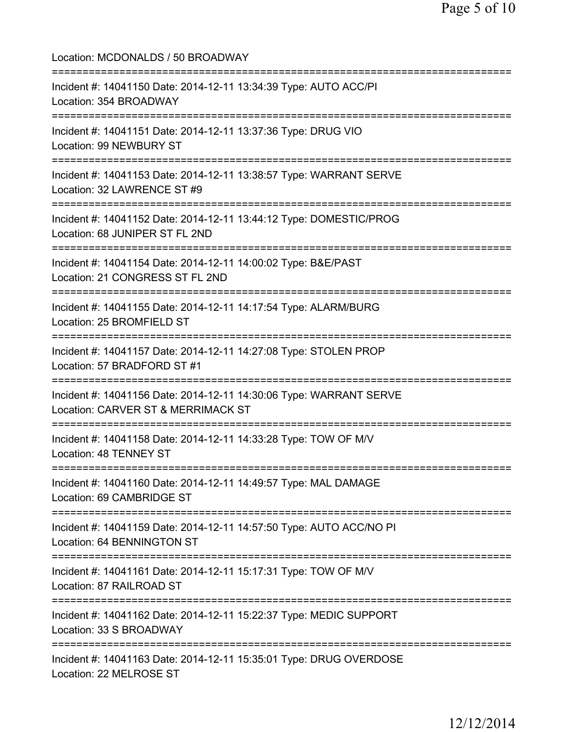Location: MCDONALDS / 50 BROADWAY =========================================================================== Incident #: 14041150 Date: 2014-12-11 13:34:39 Type: AUTO ACC/PI Location: 354 BROADWAY =========================================================================== Incident #: 14041151 Date: 2014-12-11 13:37:36 Type: DRUG VIO Location: 99 NEWBURY ST =========================================================================== Incident #: 14041153 Date: 2014-12-11 13:38:57 Type: WARRANT SERVE Location: 32 LAWRENCE ST #9 =========================================================================== Incident #: 14041152 Date: 2014-12-11 13:44:12 Type: DOMESTIC/PROG Location: 68 JUNIPER ST FL 2ND =========================================================================== Incident #: 14041154 Date: 2014-12-11 14:00:02 Type: B&E/PAST Location: 21 CONGRESS ST FL 2ND =========================================================================== Incident #: 14041155 Date: 2014-12-11 14:17:54 Type: ALARM/BURG Location: 25 BROMFIELD ST =========================================================================== Incident #: 14041157 Date: 2014-12-11 14:27:08 Type: STOLEN PROP Location: 57 BRADFORD ST #1 =========================================================================== Incident #: 14041156 Date: 2014-12-11 14:30:06 Type: WARRANT SERVE Location: CARVER ST & MERRIMACK ST =========================================================================== Incident #: 14041158 Date: 2014-12-11 14:33:28 Type: TOW OF M/V Location: 48 TENNEY ST =========================================================================== Incident #: 14041160 Date: 2014-12-11 14:49:57 Type: MAL DAMAGE Location: 69 CAMBRIDGE ST =========================================================================== Incident #: 14041159 Date: 2014-12-11 14:57:50 Type: AUTO ACC/NO PI Location: 64 BENNINGTON ST =========================================================================== Incident #: 14041161 Date: 2014-12-11 15:17:31 Type: TOW OF M/V Location: 87 RAILROAD ST =========================================================================== Incident #: 14041162 Date: 2014-12-11 15:22:37 Type: MEDIC SUPPORT Location: 33 S BROADWAY =========================================================================== Incident #: 14041163 Date: 2014-12-11 15:35:01 Type: DRUG OVERDOSE Location: 22 MELROSE ST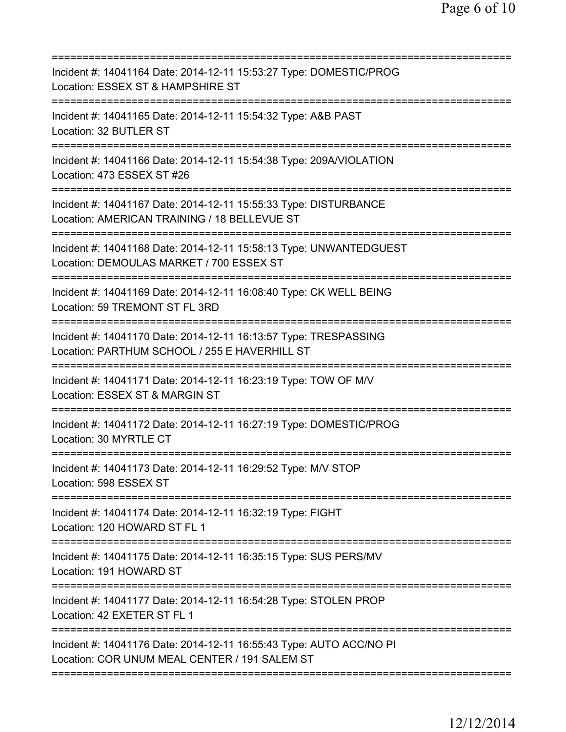| Incident #: 14041164 Date: 2014-12-11 15:53:27 Type: DOMESTIC/PROG<br>Location: ESSEX ST & HAMPSHIRE ST<br>============================             |
|-----------------------------------------------------------------------------------------------------------------------------------------------------|
| Incident #: 14041165 Date: 2014-12-11 15:54:32 Type: A&B PAST<br>Location: 32 BUTLER ST                                                             |
| Incident #: 14041166 Date: 2014-12-11 15:54:38 Type: 209A/VIOLATION<br>Location: 473 ESSEX ST #26                                                   |
| Incident #: 14041167 Date: 2014-12-11 15:55:33 Type: DISTURBANCE<br>Location: AMERICAN TRAINING / 18 BELLEVUE ST                                    |
| Incident #: 14041168 Date: 2014-12-11 15:58:13 Type: UNWANTEDGUEST<br>Location: DEMOULAS MARKET / 700 ESSEX ST                                      |
| Incident #: 14041169 Date: 2014-12-11 16:08:40 Type: CK WELL BEING<br>Location: 59 TREMONT ST FL 3RD                                                |
| Incident #: 14041170 Date: 2014-12-11 16:13:57 Type: TRESPASSING<br>Location: PARTHUM SCHOOL / 255 E HAVERHILL ST<br>------------------------------ |
| Incident #: 14041171 Date: 2014-12-11 16:23:19 Type: TOW OF M/V<br>Location: ESSEX ST & MARGIN ST                                                   |
| Incident #: 14041172 Date: 2014-12-11 16:27:19 Type: DOMESTIC/PROG<br>Location: 30 MYRTLE CT                                                        |
| Incident #: 14041173 Date: 2014-12-11 16:29:52 Type: M/V STOP<br>Location: 598 ESSEX ST                                                             |
| ====================================<br>Incident #: 14041174 Date: 2014-12-11 16:32:19 Type: FIGHT<br>Location: 120 HOWARD ST FL 1                  |
| Incident #: 14041175 Date: 2014-12-11 16:35:15 Type: SUS PERS/MV<br>Location: 191 HOWARD ST                                                         |
| Incident #: 14041177 Date: 2014-12-11 16:54:28 Type: STOLEN PROP<br>Location: 42 EXETER ST FL 1                                                     |
| Incident #: 14041176 Date: 2014-12-11 16:55:43 Type: AUTO ACC/NO PI<br>Location: COR UNUM MEAL CENTER / 191 SALEM ST                                |
|                                                                                                                                                     |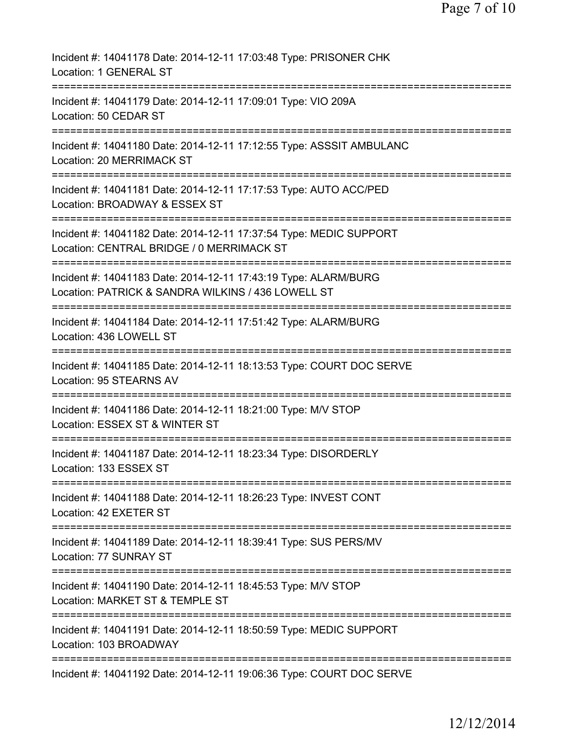| Incident #: 14041178 Date: 2014-12-11 17:03:48 Type: PRISONER CHK<br>Location: 1 GENERAL ST                                          |
|--------------------------------------------------------------------------------------------------------------------------------------|
| Incident #: 14041179 Date: 2014-12-11 17:09:01 Type: VIO 209A<br>Location: 50 CEDAR ST                                               |
| Incident #: 14041180 Date: 2014-12-11 17:12:55 Type: ASSSIT AMBULANC<br>Location: 20 MERRIMACK ST                                    |
| Incident #: 14041181 Date: 2014-12-11 17:17:53 Type: AUTO ACC/PED<br>Location: BROADWAY & ESSEX ST                                   |
| Incident #: 14041182 Date: 2014-12-11 17:37:54 Type: MEDIC SUPPORT<br>Location: CENTRAL BRIDGE / 0 MERRIMACK ST                      |
| Incident #: 14041183 Date: 2014-12-11 17:43:19 Type: ALARM/BURG<br>Location: PATRICK & SANDRA WILKINS / 436 LOWELL ST                |
| Incident #: 14041184 Date: 2014-12-11 17:51:42 Type: ALARM/BURG<br>Location: 436 LOWELL ST<br>====================================== |
| Incident #: 14041185 Date: 2014-12-11 18:13:53 Type: COURT DOC SERVE<br>Location: 95 STEARNS AV                                      |
| =================================<br>Incident #: 14041186 Date: 2014-12-11 18:21:00 Type: M/V STOP<br>Location: ESSEX ST & WINTER ST |
| =============<br>Incident #: 14041187 Date: 2014-12-11 18:23:34 Type: DISORDERLY<br>Location: 133 ESSEX ST                           |
| Incident #: 14041188 Date: 2014-12-11 18:26:23 Type: INVEST CONT<br>Location: 42 EXETER ST                                           |
| Incident #: 14041189 Date: 2014-12-11 18:39:41 Type: SUS PERS/MV<br>Location: 77 SUNRAY ST                                           |
| Incident #: 14041190 Date: 2014-12-11 18:45:53 Type: M/V STOP<br>Location: MARKET ST & TEMPLE ST                                     |
| Incident #: 14041191 Date: 2014-12-11 18:50:59 Type: MEDIC SUPPORT<br>Location: 103 BROADWAY                                         |
| Incident #: 14041192 Date: 2014-12-11 19:06:36 Type: COURT DOC SERVE                                                                 |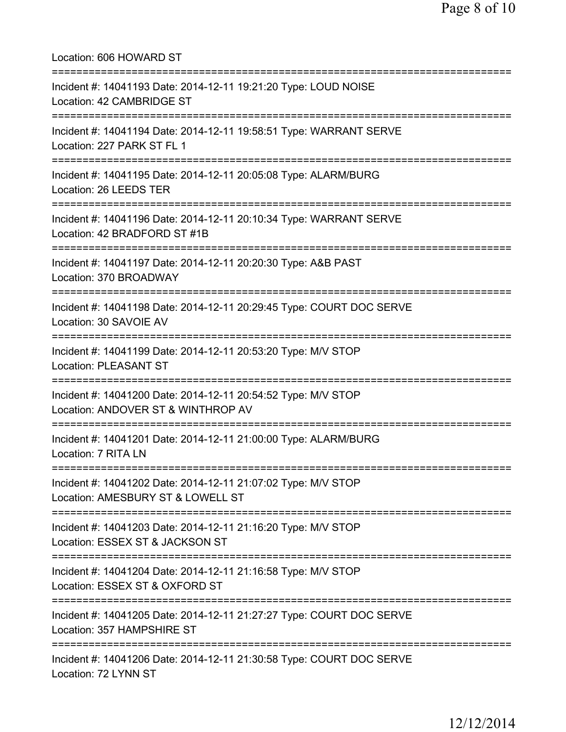Location: 606 HOWARD ST =========================================================================== Incident #: 14041193 Date: 2014-12-11 19:21:20 Type: LOUD NOISE Location: 42 CAMBRIDGE ST =========================================================================== Incident #: 14041194 Date: 2014-12-11 19:58:51 Type: WARRANT SERVE Location: 227 PARK ST FL 1 =========================================================================== Incident #: 14041195 Date: 2014-12-11 20:05:08 Type: ALARM/BURG Location: 26 LEEDS TER =========================================================================== Incident #: 14041196 Date: 2014-12-11 20:10:34 Type: WARRANT SERVE Location: 42 BRADFORD ST #1B =========================================================================== Incident #: 14041197 Date: 2014-12-11 20:20:30 Type: A&B PAST Location: 370 BROADWAY =========================================================================== Incident #: 14041198 Date: 2014-12-11 20:29:45 Type: COURT DOC SERVE Location: 30 SAVOIE AV =========================================================================== Incident #: 14041199 Date: 2014-12-11 20:53:20 Type: M/V STOP Location: PLEASANT ST =========================================================================== Incident #: 14041200 Date: 2014-12-11 20:54:52 Type: M/V STOP Location: ANDOVER ST & WINTHROP AV =========================================================================== Incident #: 14041201 Date: 2014-12-11 21:00:00 Type: ALARM/BURG Location: 7 RITA LN =========================================================================== Incident #: 14041202 Date: 2014-12-11 21:07:02 Type: M/V STOP Location: AMESBURY ST & LOWELL ST =========================================================================== Incident #: 14041203 Date: 2014-12-11 21:16:20 Type: M/V STOP Location: ESSEX ST & JACKSON ST =========================================================================== Incident #: 14041204 Date: 2014-12-11 21:16:58 Type: M/V STOP Location: ESSEX ST & OXFORD ST =========================================================================== Incident #: 14041205 Date: 2014-12-11 21:27:27 Type: COURT DOC SERVE Location: 357 HAMPSHIRE ST =========================================================================== Incident #: 14041206 Date: 2014-12-11 21:30:58 Type: COURT DOC SERVE Location: 72 LYNN ST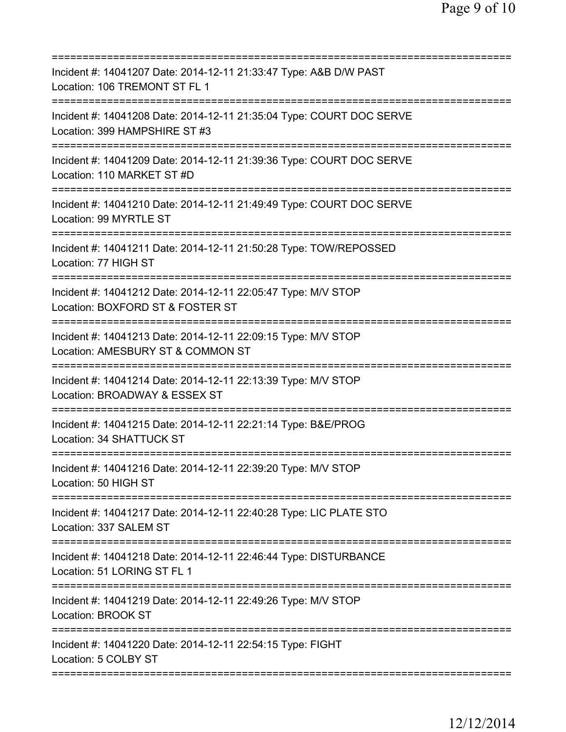| ==========================                                                                                    |
|---------------------------------------------------------------------------------------------------------------|
| Incident #: 14041207 Date: 2014-12-11 21:33:47 Type: A&B D/W PAST<br>Location: 106 TREMONT ST FL 1            |
| Incident #: 14041208 Date: 2014-12-11 21:35:04 Type: COURT DOC SERVE<br>Location: 399 HAMPSHIRE ST #3         |
| Incident #: 14041209 Date: 2014-12-11 21:39:36 Type: COURT DOC SERVE<br>Location: 110 MARKET ST #D            |
| Incident #: 14041210 Date: 2014-12-11 21:49:49 Type: COURT DOC SERVE<br>Location: 99 MYRTLE ST                |
| Incident #: 14041211 Date: 2014-12-11 21:50:28 Type: TOW/REPOSSED<br>Location: 77 HIGH ST                     |
| Incident #: 14041212 Date: 2014-12-11 22:05:47 Type: M/V STOP<br>Location: BOXFORD ST & FOSTER ST             |
| Incident #: 14041213 Date: 2014-12-11 22:09:15 Type: M/V STOP<br>Location: AMESBURY ST & COMMON ST            |
| Incident #: 14041214 Date: 2014-12-11 22:13:39 Type: M/V STOP<br>Location: BROADWAY & ESSEX ST                |
| Incident #: 14041215 Date: 2014-12-11 22:21:14 Type: B&E/PROG<br>Location: 34 SHATTUCK ST                     |
| ====================<br>Incident #: 14041216 Date: 2014-12-11 22:39:20 Type: M/V STOP<br>Location: 50 HIGH ST |
| Incident #: 14041217 Date: 2014-12-11 22:40:28 Type: LIC PLATE STO<br>Location: 337 SALEM ST                  |
| Incident #: 14041218 Date: 2014-12-11 22:46:44 Type: DISTURBANCE<br>Location: 51 LORING ST FL 1               |
| Incident #: 14041219 Date: 2014-12-11 22:49:26 Type: M/V STOP<br>Location: BROOK ST                           |
| Incident #: 14041220 Date: 2014-12-11 22:54:15 Type: FIGHT<br>Location: 5 COLBY ST                            |
|                                                                                                               |